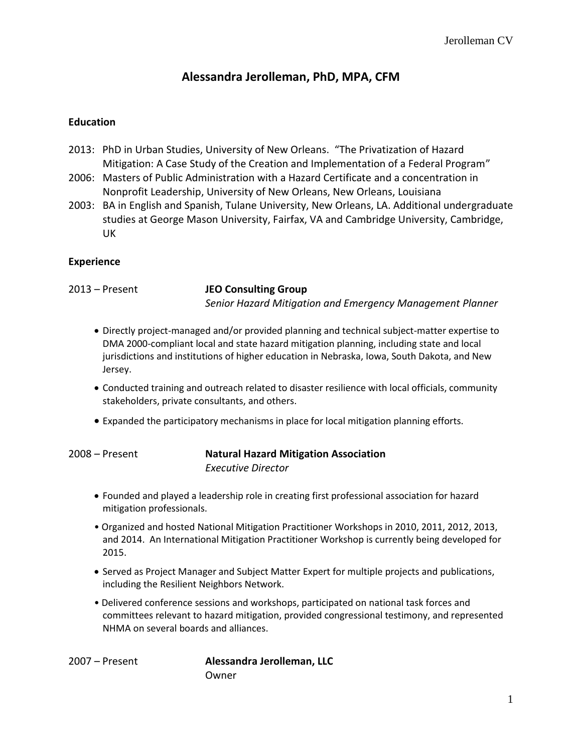## **Alessandra Jerolleman, PhD, MPA, CFM**

#### **Education**

- 2013: PhD in Urban Studies, University of New Orleans. "The Privatization of Hazard Mitigation: A Case Study of the Creation and Implementation of a Federal Program"
- 2006: Masters of Public Administration with a Hazard Certificate and a concentration in Nonprofit Leadership, University of New Orleans, New Orleans, Louisiana
- 2003: BA in English and Spanish, Tulane University, New Orleans, LA. Additional undergraduate studies at George Mason University, Fairfax, VA and Cambridge University, Cambridge, UK

#### **Experience**

2013 – Present **JEO Consulting Group** *Senior Hazard Mitigation and Emergency Management Planner*

- Directly project-managed and/or provided planning and technical subject-matter expertise to DMA 2000-compliant local and state hazard mitigation planning, including state and local jurisdictions and institutions of higher education in Nebraska, Iowa, South Dakota, and New Jersey.
- Conducted training and outreach related to disaster resilience with local officials, community stakeholders, private consultants, and others.
- Expanded the participatory mechanisms in place for local mitigation planning efforts.

#### 2008 – Present **Natural Hazard Mitigation Association** *Executive Director*

- Founded and played a leadership role in creating first professional association for hazard mitigation professionals.
- Organized and hosted National Mitigation Practitioner Workshops in 2010, 2011, 2012, 2013, and 2014. An International Mitigation Practitioner Workshop is currently being developed for 2015.
- Served as Project Manager and Subject Matter Expert for multiple projects and publications, including the Resilient Neighbors Network.
- Delivered conference sessions and workshops, participated on national task forces and committees relevant to hazard mitigation, provided congressional testimony, and represented NHMA on several boards and alliances.

2007 – Present **Alessandra Jerolleman, LLC** Owner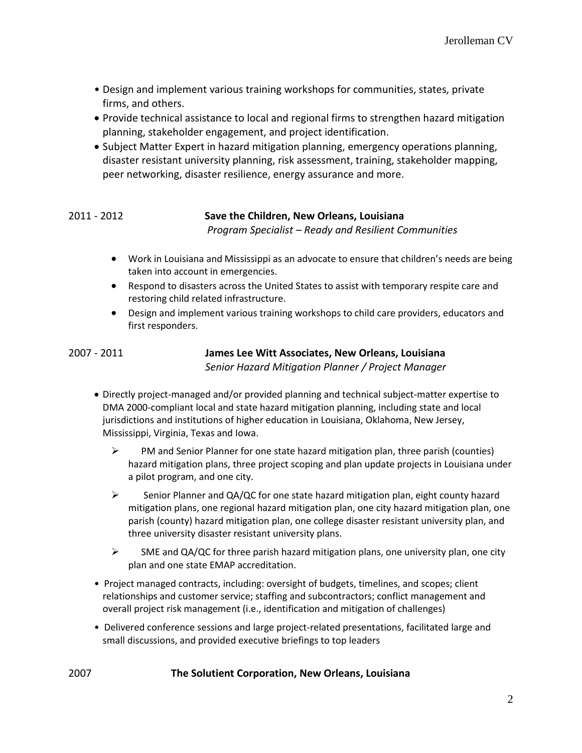- Design and implement various training workshops for communities, states, private firms, and others.
- Provide technical assistance to local and regional firms to strengthen hazard mitigation planning, stakeholder engagement, and project identification.
- Subject Matter Expert in hazard mitigation planning, emergency operations planning, disaster resistant university planning, risk assessment, training, stakeholder mapping, peer networking, disaster resilience, energy assurance and more.

### 2011 - 2012 **Save the Children, New Orleans, Louisiana** *Program Specialist – Ready and Resilient Communities*

- Work in Louisiana and Mississippi as an advocate to ensure that children's needs are being taken into account in emergencies.
- Respond to disasters across the United States to assist with temporary respite care and restoring child related infrastructure.
- Design and implement various training workshops to child care providers, educators and first responders.

| 2007 - 2011 | James Lee Witt Associates, New Orleans, Louisiana  |
|-------------|----------------------------------------------------|
|             | Senior Hazard Mitigation Planner / Project Manager |

- Directly project-managed and/or provided planning and technical subject-matter expertise to DMA 2000-compliant local and state hazard mitigation planning, including state and local jurisdictions and institutions of higher education in Louisiana, Oklahoma, New Jersey, Mississippi, Virginia, Texas and Iowa.
	- $\triangleright$  PM and Senior Planner for one state hazard mitigation plan, three parish (counties) hazard mitigation plans, three project scoping and plan update projects in Louisiana under a pilot program, and one city.
	- $\triangleright$  Senior Planner and QA/QC for one state hazard mitigation plan, eight county hazard mitigation plans, one regional hazard mitigation plan, one city hazard mitigation plan, one parish (county) hazard mitigation plan, one college disaster resistant university plan, and three university disaster resistant university plans.
	- $\triangleright$  SME and QA/QC for three parish hazard mitigation plans, one university plan, one city plan and one state EMAP accreditation.
- Project managed contracts, including: oversight of budgets, timelines, and scopes; client relationships and customer service; staffing and subcontractors; conflict management and overall project risk management (i.e., identification and mitigation of challenges)
- Delivered conference sessions and large project-related presentations, facilitated large and small discussions, and provided executive briefings to top leaders

#### 2007 **The Solutient Corporation, New Orleans, Louisiana**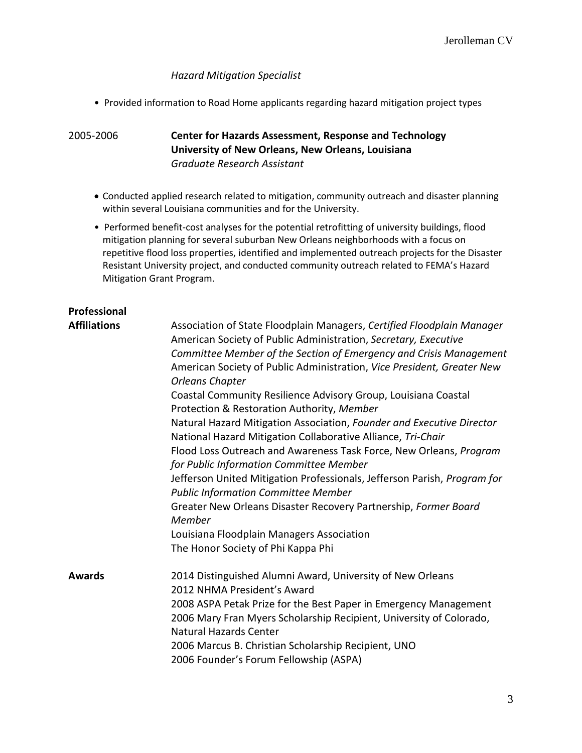#### *Hazard Mitigation Specialist*

• Provided information to Road Home applicants regarding hazard mitigation project types

#### 2005-2006 **Center for Hazards Assessment, Response and Technology University of New Orleans, New Orleans, Louisiana** *Graduate Research Assistant*

- Conducted applied research related to mitigation, community outreach and disaster planning within several Louisiana communities and for the University.
- Performed benefit-cost analyses for the potential retrofitting of university buildings, flood mitigation planning for several suburban New Orleans neighborhoods with a focus on repetitive flood loss properties, identified and implemented outreach projects for the Disaster Resistant University project, and conducted community outreach related to FEMA's Hazard Mitigation Grant Program.

# **Professional**

## **Affiliations** Association of State Floodplain Managers, *Certified Floodplain Manager*

|        | American Society of Public Administration, Secretary, Executive<br>Committee Member of the Section of Emergency and Crisis Management<br>American Society of Public Administration, Vice President, Greater New<br>Orleans Chapter<br>Coastal Community Resilience Advisory Group, Louisiana Coastal<br>Protection & Restoration Authority, Member<br>Natural Hazard Mitigation Association, Founder and Executive Director<br>National Hazard Mitigation Collaborative Alliance, Tri-Chair<br>Flood Loss Outreach and Awareness Task Force, New Orleans, Program<br>for Public Information Committee Member<br>Jefferson United Mitigation Professionals, Jefferson Parish, Program for<br><b>Public Information Committee Member</b> |
|--------|----------------------------------------------------------------------------------------------------------------------------------------------------------------------------------------------------------------------------------------------------------------------------------------------------------------------------------------------------------------------------------------------------------------------------------------------------------------------------------------------------------------------------------------------------------------------------------------------------------------------------------------------------------------------------------------------------------------------------------------|
|        | Greater New Orleans Disaster Recovery Partnership, Former Board<br>Member<br>Louisiana Floodplain Managers Association<br>The Honor Society of Phi Kappa Phi                                                                                                                                                                                                                                                                                                                                                                                                                                                                                                                                                                           |
| Awards | 2014 Distinguished Alumni Award, University of New Orleans<br>2012 NHMA President's Award<br>2008 ASPA Petak Prize for the Best Paper in Emergency Management<br>2006 Mary Fran Myers Scholarship Recipient, University of Colorado,<br><b>Natural Hazards Center</b><br>2006 Marcus B. Christian Scholarship Recipient, UNO<br>2006 Founder's Forum Fellowship (ASPA)                                                                                                                                                                                                                                                                                                                                                                 |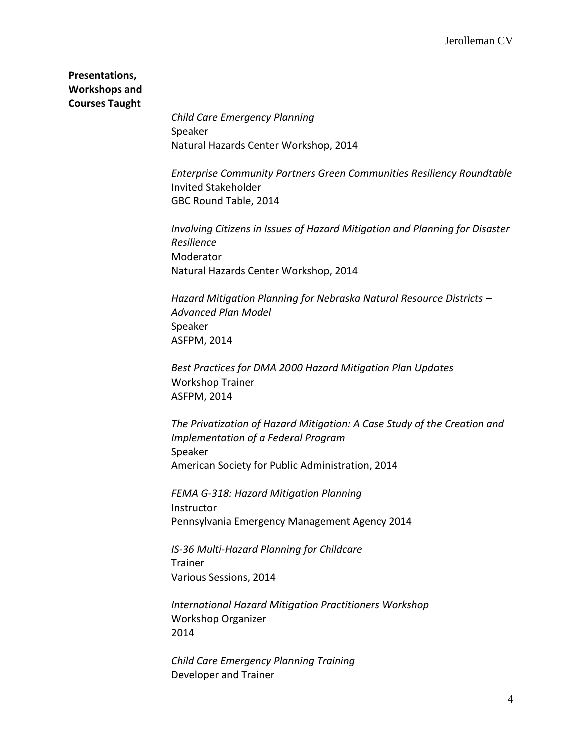**Presentations, Workshops and Courses Taught**

> *Child Care Emergency Planning* Speaker Natural Hazards Center Workshop, 2014

*Enterprise Community Partners Green Communities Resiliency Roundtable* Invited Stakeholder GBC Round Table, 2014

*Involving Citizens in Issues of Hazard Mitigation and Planning for Disaster Resilience* Moderator Natural Hazards Center Workshop, 2014

*Hazard Mitigation Planning for Nebraska Natural Resource Districts – Advanced Plan Model* Speaker ASFPM, 2014

*Best Practices for DMA 2000 Hazard Mitigation Plan Updates* Workshop Trainer ASFPM, 2014

*The Privatization of Hazard Mitigation: A Case Study of the Creation and Implementation of a Federal Program*  Speaker American Society for Public Administration, 2014

*FEMA G-318: Hazard Mitigation Planning* Instructor Pennsylvania Emergency Management Agency 2014

*IS-36 Multi-Hazard Planning for Childcare* Trainer Various Sessions, 2014

*International Hazard Mitigation Practitioners Workshop* Workshop Organizer 2014

*Child Care Emergency Planning Training* Developer and Trainer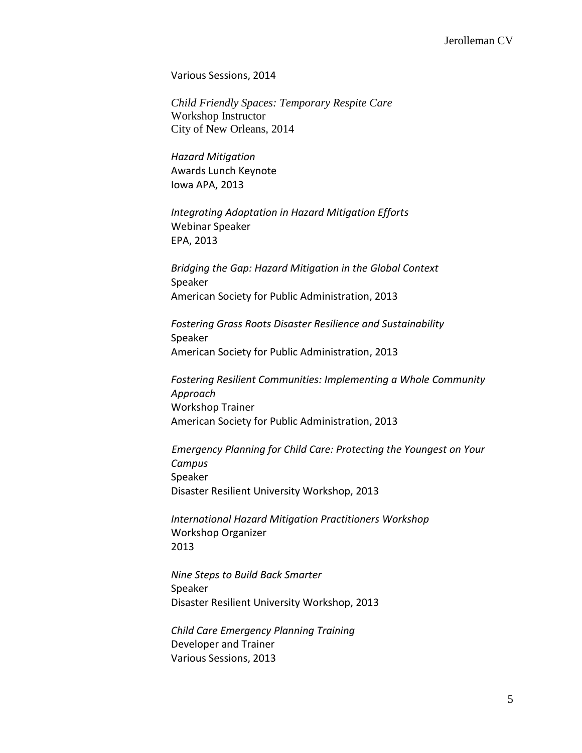Various Sessions, 2014

*Child Friendly Spaces: Temporary Respite Care* Workshop Instructor City of New Orleans, 2014

*Hazard Mitigation* Awards Lunch Keynote Iowa APA, 2013

*Integrating Adaptation in Hazard Mitigation Efforts* Webinar Speaker EPA, 2013

*Bridging the Gap: Hazard Mitigation in the Global Context* Speaker American Society for Public Administration, 2013

*Fostering Grass Roots Disaster Resilience and Sustainability* Speaker American Society for Public Administration, 2013

*Fostering Resilient Communities: Implementing a Whole Community Approach*  Workshop Trainer American Society for Public Administration, 2013

 *Emergency Planning for Child Care: Protecting the Youngest on Your Campus* Speaker Disaster Resilient University Workshop, 2013

*International Hazard Mitigation Practitioners Workshop* Workshop Organizer 2013

*Nine Steps to Build Back Smarter* Speaker Disaster Resilient University Workshop, 2013

*Child Care Emergency Planning Training* Developer and Trainer Various Sessions, 2013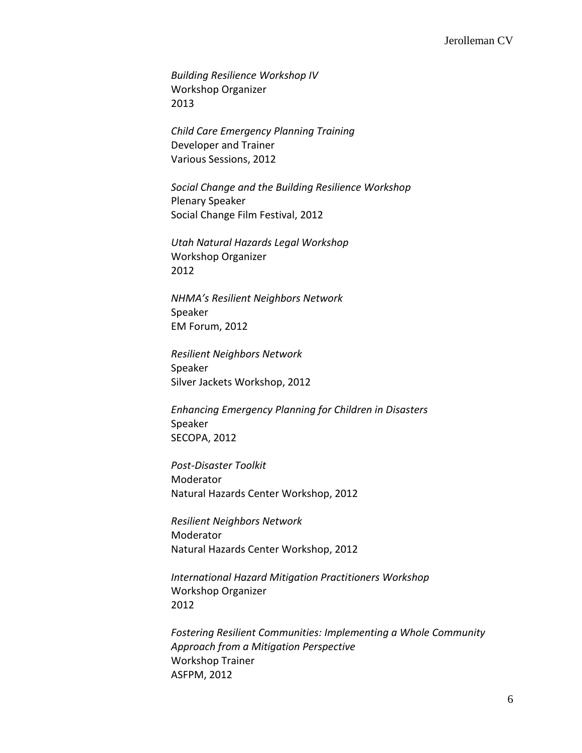*Building Resilience Workshop IV* Workshop Organizer 2013

*Child Care Emergency Planning Training* Developer and Trainer Various Sessions, 2012

*Social Change and the Building Resilience Workshop* Plenary Speaker Social Change Film Festival, 2012

*Utah Natural Hazards Legal Workshop* Workshop Organizer 2012

*NHMA's Resilient Neighbors Network* Speaker EM Forum, 2012

*Resilient Neighbors Network* Speaker Silver Jackets Workshop, 2012

*Enhancing Emergency Planning for Children in Disasters* Speaker SECOPA, 2012

*Post-Disaster Toolkit* Moderator Natural Hazards Center Workshop, 2012

*Resilient Neighbors Network* Moderator Natural Hazards Center Workshop, 2012

*International Hazard Mitigation Practitioners Workshop* Workshop Organizer 2012

*Fostering Resilient Communities: Implementing a Whole Community Approach from a Mitigation Perspective* Workshop Trainer ASFPM, 2012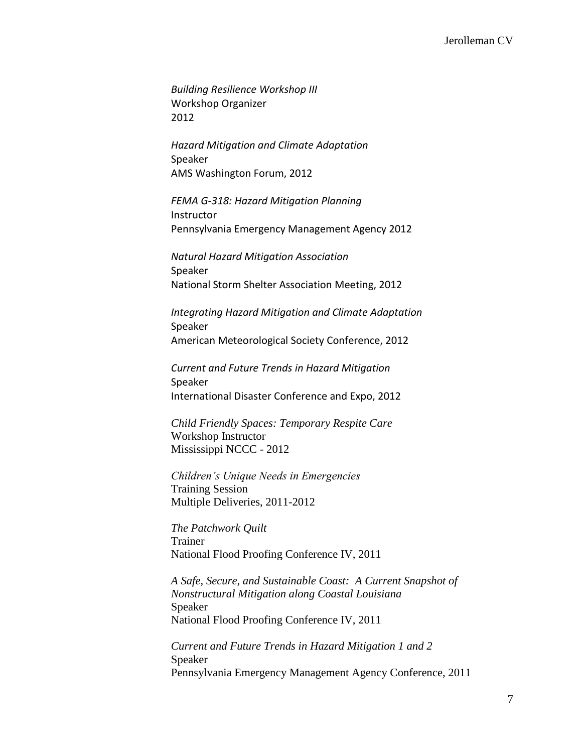*Building Resilience Workshop III* Workshop Organizer 2012

*Hazard Mitigation and Climate Adaptation* Speaker AMS Washington Forum, 2012

*FEMA G-318: Hazard Mitigation Planning* Instructor Pennsylvania Emergency Management Agency 2012

*Natural Hazard Mitigation Association*  Speaker National Storm Shelter Association Meeting, 2012

*Integrating Hazard Mitigation and Climate Adaptation* Speaker American Meteorological Society Conference, 2012

*Current and Future Trends in Hazard Mitigation* Speaker International Disaster Conference and Expo, 2012

*Child Friendly Spaces: Temporary Respite Care* Workshop Instructor Mississippi NCCC - 2012

*Children's Unique Needs in Emergencies* Training Session Multiple Deliveries, 2011-2012

*The Patchwork Quilt* Trainer National Flood Proofing Conference IV, 2011

*A Safe, Secure, and Sustainable Coast: A Current Snapshot of Nonstructural Mitigation along Coastal Louisiana* Speaker National Flood Proofing Conference IV, 2011

*Current and Future Trends in Hazard Mitigation 1 and 2* Speaker Pennsylvania Emergency Management Agency Conference, 2011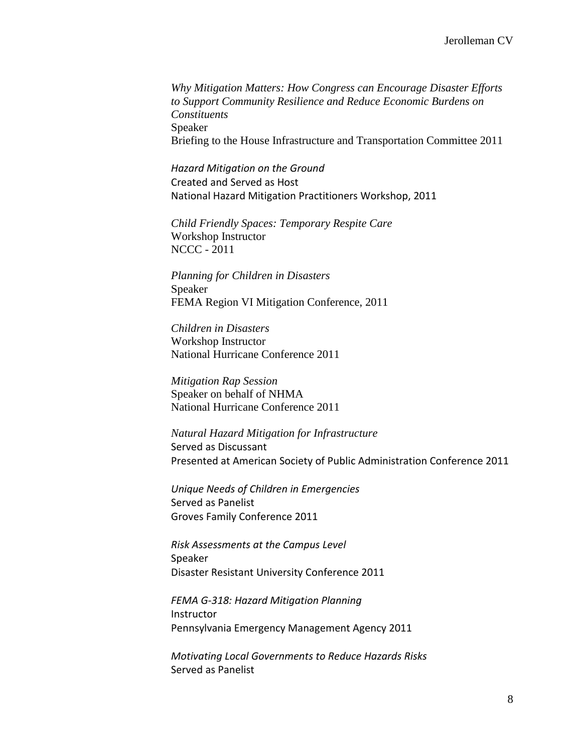*Why Mitigation Matters: How Congress can Encourage Disaster Efforts to Support Community Resilience and Reduce Economic Burdens on Constituents* Speaker Briefing to the House Infrastructure and Transportation Committee 2011

*Hazard Mitigation on the Ground* Created and Served as Host National Hazard Mitigation Practitioners Workshop, 2011

*Child Friendly Spaces: Temporary Respite Care* Workshop Instructor NCCC - 2011

*Planning for Children in Disasters* Speaker FEMA Region VI Mitigation Conference, 2011

*Children in Disasters* Workshop Instructor National Hurricane Conference 2011

*Mitigation Rap Session* Speaker on behalf of NHMA National Hurricane Conference 2011

*Natural Hazard Mitigation for Infrastructure* Served as Discussant Presented at American Society of Public Administration Conference 2011

*Unique Needs of Children in Emergencies* Served as Panelist Groves Family Conference 2011

*Risk Assessments at the Campus Level* Speaker Disaster Resistant University Conference 2011

*FEMA G-318: Hazard Mitigation Planning* Instructor Pennsylvania Emergency Management Agency 2011

*Motivating Local Governments to Reduce Hazards Risks* Served as Panelist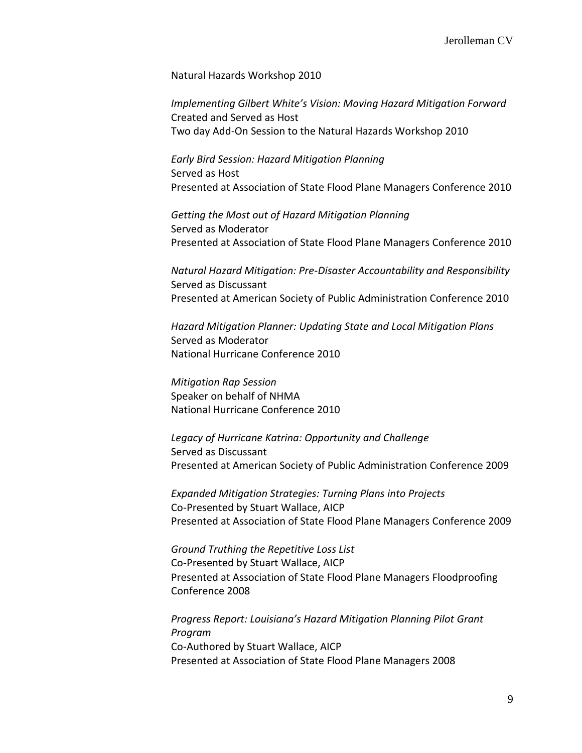Natural Hazards Workshop 2010

*Implementing Gilbert White's Vision: Moving Hazard Mitigation Forward* Created and Served as Host Two day Add-On Session to the Natural Hazards Workshop 2010

*Early Bird Session: Hazard Mitigation Planning* Served as Host Presented at Association of State Flood Plane Managers Conference 2010

*Getting the Most out of Hazard Mitigation Planning* Served as Moderator Presented at Association of State Flood Plane Managers Conference 2010

*Natural Hazard Mitigation: Pre-Disaster Accountability and Responsibility* Served as Discussant Presented at American Society of Public Administration Conference 2010

*Hazard Mitigation Planner: Updating State and Local Mitigation Plans* Served as Moderator National Hurricane Conference 2010

*Mitigation Rap Session* Speaker on behalf of NHMA National Hurricane Conference 2010

*Legacy of Hurricane Katrina: Opportunity and Challenge* Served as Discussant Presented at American Society of Public Administration Conference 2009

*Expanded Mitigation Strategies: Turning Plans into Projects* Co-Presented by Stuart Wallace, AICP Presented at Association of State Flood Plane Managers Conference 2009

*Ground Truthing the Repetitive Loss List* Co-Presented by Stuart Wallace, AICP Presented at Association of State Flood Plane Managers Floodproofing Conference 2008

*Progress Report: Louisiana's Hazard Mitigation Planning Pilot Grant Program* Co-Authored by Stuart Wallace, AICP Presented at Association of State Flood Plane Managers 2008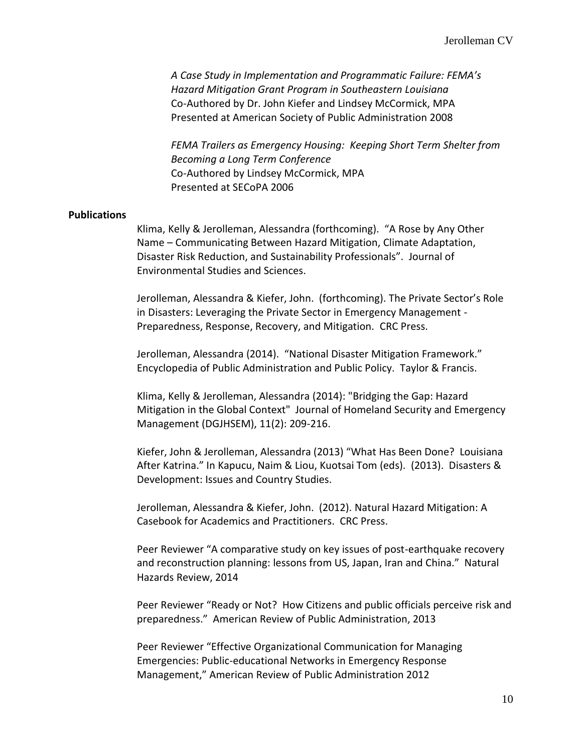*A Case Study in Implementation and Programmatic Failure: FEMA's Hazard Mitigation Grant Program in Southeastern Louisiana* Co-Authored by Dr. John Kiefer and Lindsey McCormick, MPA Presented at American Society of Public Administration 2008

*FEMA Trailers as Emergency Housing: Keeping Short Term Shelter from Becoming a Long Term Conference* Co-Authored by Lindsey McCormick, MPA Presented at SECoPA 2006

#### **Publications**

Klima, Kelly & Jerolleman, Alessandra (forthcoming). "A Rose by Any Other Name – Communicating Between Hazard Mitigation, Climate Adaptation, Disaster Risk Reduction, and Sustainability Professionals". Journal of Environmental Studies and Sciences.

Jerolleman, Alessandra & Kiefer, John. (forthcoming). The Private Sector's Role in Disasters: Leveraging the Private Sector in Emergency Management - Preparedness, Response, Recovery, and Mitigation. CRC Press.

Jerolleman, Alessandra (2014). "National Disaster Mitigation Framework." Encyclopedia of Public Administration and Public Policy. Taylor & Francis.

Klima, Kelly & Jerolleman, Alessandra (2014): "Bridging the Gap: Hazard Mitigation in the Global Context" Journal of Homeland Security and Emergency Management (DGJHSEM), 11(2): 209-216.

Kiefer, John & Jerolleman, Alessandra (2013) "What Has Been Done? Louisiana After Katrina." In Kapucu, Naim & Liou, Kuotsai Tom (eds). (2013). Disasters & Development: Issues and Country Studies.

Jerolleman, Alessandra & Kiefer, John. (2012). Natural Hazard Mitigation: A Casebook for Academics and Practitioners. CRC Press.

Peer Reviewer "A comparative study on key issues of post-earthquake recovery and reconstruction planning: lessons from US, Japan, Iran and China." Natural Hazards Review, 2014

Peer Reviewer "Ready or Not? How Citizens and public officials perceive risk and preparedness." American Review of Public Administration, 2013

Peer Reviewer "Effective Organizational Communication for Managing Emergencies: Public-educational Networks in Emergency Response Management," American Review of Public Administration 2012